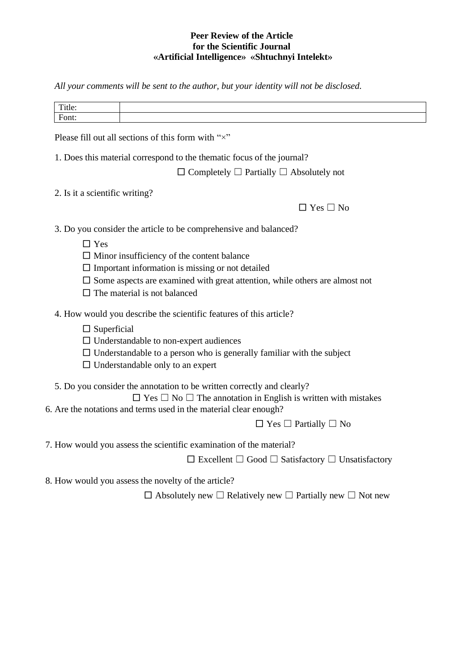## **Peer Review of the Article for the Scientific Journal «Artificial Intelligence» «Shtuchnyi Intelekt»**

*All your comments will be sent to the author, but your identity will not be disclosed.*

| ttle:                                        |  |
|----------------------------------------------|--|
| $T_{\text{cont}}$<br>O <sub>11</sub><br>---- |  |

Please fill out all sections of this form with " $\times$ "

1. Does this material correspond to the thematic focus of the journal?

□ Completely ☐ Partially ☐ Absolutely not

2. Is it a scientific writing?

| ۰<br>J.<br>ו<br>1 |
|-------------------|
|-------------------|

3. Do you consider the article to be comprehensive and balanced?

- □ Yes
- $\square$  Minor insufficiency of the content balance
- $\square$  Important information is missing or not detailed
- $\square$  Some aspects are examined with great attention, while others are almost not
- $\Box$  The material is not balanced
- 4. How would you describe the scientific features of this article?
	- $\square$  Superficial
	- $\square$  Understandable to non-expert audiences
	- $\Box$  Understandable to a person who is generally familiar with the subject
	- $\Box$  Understandable only to an expert
- 5. Do you consider the annotation to be written correctly and clearly?

 $\Box$  Yes  $\Box$  No  $\Box$  The annotation in English is written with mistakes 6. Are the notations and terms used in the material clear enough?

 $\Box$  Yes  $\Box$  Partially  $\Box$  No

7. How would you assess the scientific examination of the material?

□ Excellent ☐ Good ☐ Satisfactory ☐ Unsatisfactory

8. How would you assess the novelty of the article?

□ Absolutely new ☐ Relatively new ☐ Partially new ☐ Not new